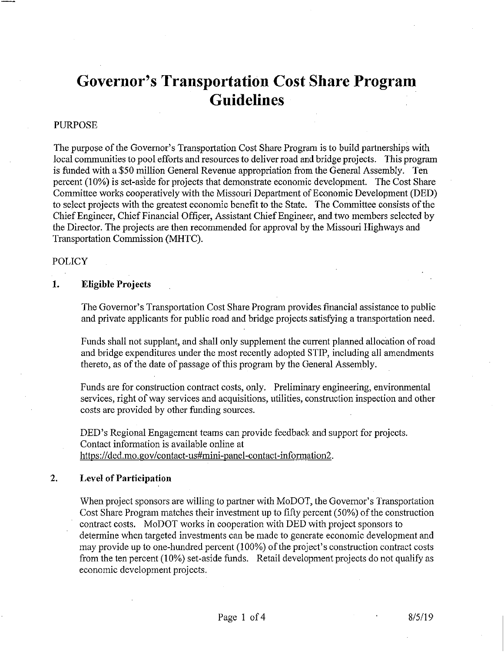# Governor's Transportation Cost Share Program Guidelines

# PURPOSE

The purpose of the Governor's Transportation Cost Share Program is to build partnerships with local communities to pool efforts and resources to deliver road and bridge projects. This program is funded with a \$50 million General Revenue appropriation from the General Assembly. Ten percent (10%) is set-aside for projects that demanstrate economic development. The Cost Share Committee works cooperatively with the Missouri Department of Economic Development (DED) to select projects with the greatest economic benefit to the State. The Committee consists of the Chief Engineer, Chief Financial Officer, Assistant Chief Engineer, and two members selected by the Director. The projects are then recommended for approval by the Missouri Highways and Transportation Commission (MHTC).

## POLICY

## 1. EIigible Projects

The Govemor's Transportation Cost Share Program provides financial assistance to public and private applicants for public road and bridge projects satisfying a transportation need.

Funds shall not supplant, and shall only supplement the current planned allocation ofroad and bridge expenditures under the most recently adopted STIP, including all amendments thereto, as of the date of passage of this program by the General Assembly.

Funds are for construction contract costs, only. Preliminary engineering, environmental services, right of way services and acquisitions, utilities, construction inspection and other costs are provided by other funding sources.

DED's Regional Engagement teams can provide feedback and support for projects. Contact information is available online at https://ded.mo.gov/contact-us#mini-panel-contact-information2.

#### 2. Level of Participation

When project sponsors are willing to partner with MoDOT, the Governor's Transportation Cost Share Program matches their investment up to fifty percent (50%) of the construction contract costs. MoDOT works in cooperation with DED with project sponsors to determine when targeted investments can be made to generate economic development and may provide up to one-hundred percent (100%) of the project's construction contract costs from the ten percent (10%) set-aside funds. Retail development projects do not qualify as economic development projects.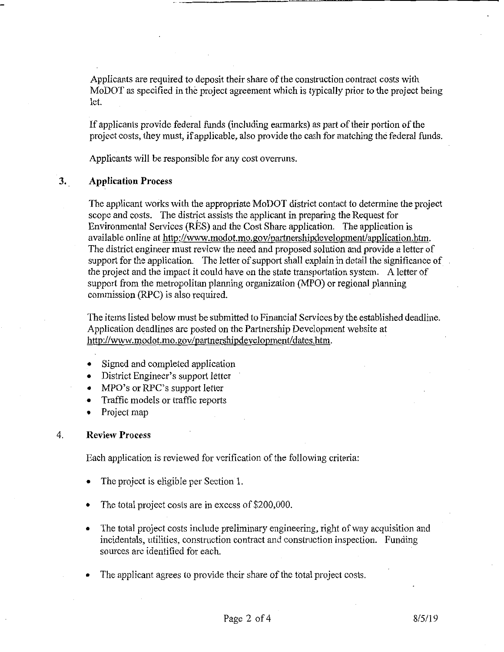Applicants are required to deposit their share of the construction contract costs with MoDOT as specified in the project agreement which is typically prior to the project being

If applicants provide federal funds (including earmarks) as part of their portion of the project costs, they must, if applicable, also provide the cash for matching the federal funds.

Applicants will be responsible for any cost overruns.

#### $3.$ Application Process

The applicant works with the appropriate MoDOT district contact to determine the project scope and costs. The district assists the applicant in preparing the Request for Environmental Services (RES) and the Cost Share application. The application is available online at http://www.modot.mo.gov/partnershipdevelopment/application.htm. The district engineer must review the need and proposed solution and provide a letter of support for the application. The letter of support shall explain in detail the significance of the project and the impact it could have on the state transportation system. A letter of support from the metropolitan planning organization (MPO) or regional planning commission (RPC) is also required.

The items listed below must be submitted to Financial Services by the established deadline. Application deadlines are posted on the Parinership Development website at http://www.modot.mo.gov/partnershipdevelopment/dates.htm.

- Signed and completed application
- District Engineer's support letter
- MPO's or RPC's support letter
- Traffic models or traffic reports
- Project map

#### 4. Review Process

Each application is reviewed for verification of the following criteria:

- The project is eligible per Section 1.
- The total project costs are in excess of \$200,000.
- The total project costs include preliminary engineering, right of way acquisition and incidentals, utilities, construction contract and constraction inspection. Funding sources are identified for each.
- The applicant agrees to provide their share of the total project costs.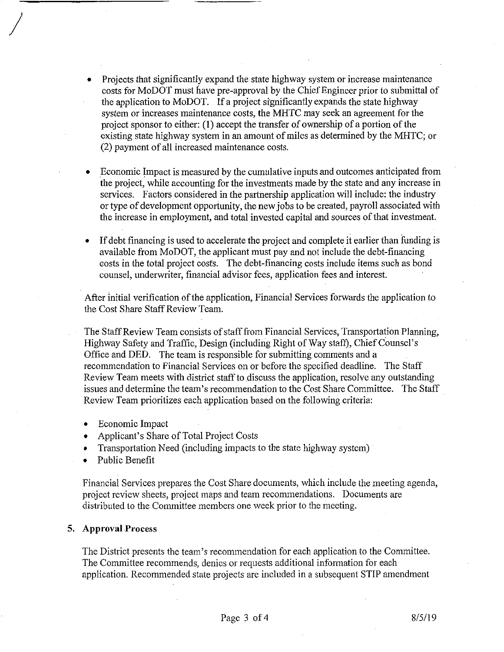- Projects that significantly expand the state highway system or increase maintenance costs for MoDOT must have pre-approval by the ChiefEngineer prior to submittal of the application to MoDOT. If a project significantly expands the state highway system or increases maintenance costs, the MHTC may seek an agreement for the project sponsor to either:  $(1)$  accept the transfer of ownership of a portion of the existing state highway system in an amount of miles as determined by the MHTC; or (2) payment ofall increased maintenance costs.
- Economic Impact is measured by the cumulative inputs and outoomes anticipated from the project, while accountiag for the investments made by the state and any increase in services. Factors considered in the partnership application will include: the industry or type of development opportunity, the new jobs to be created, payroll associated with the increase in employment, and total invested capital and sources of that investment.
- If debt financing is used to accelerate the project and complete it earlier than funding is available from MoDOT, the applicant must pay and not include the debt-financing eosts in the total project costs. The debt-financing costs include items such as bond counsel, underwriter, financial advisor fees, application fees and interest.

After initial verification of the application, Financial Services forwards the application to the Cost Share Staff Review Team.

The Staff Review Team consists of staff from Financial Services, Transportation Planning, Highway Safety and Traffic, Design (including Right of Way staff), Chief Counsel's Office and DED. The team is responsible for submitting comments and a recommendation to Financial Services on or before the specified deadline. The Staff Review Team meets with district staff to discuss the application, resolve any outstanding issues and determine the team's recommendation to the Cost Share Committee. The Staff Review Team prioritizes each application based on the following criteria:

- Economic Impact
- Applicant's Share of Total Project Costs
- Transportation Need (including impacts to the state highway system)
- Public Benefit

Financial Services prepares the Cost Share documents, which include the meeting agenda, project review sheets, project maps and team recommendations. Documents are distributed to the Committee members one week prior to the meeting.

#### 5. Approval Process

The District presents the team's recommendation for each application to the Committee. The Committee recommends, denies or requests additional information for each application. Recommended state projects are included in <sup>a</sup> subsequent STIP amendment